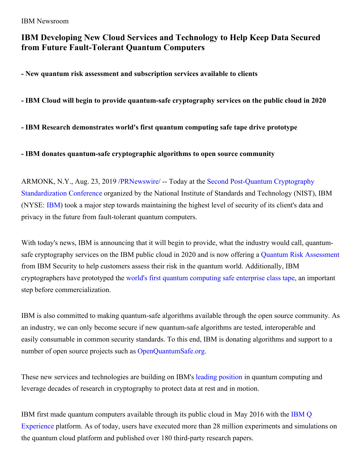# **IBM Developing New Cloud Services and Technology to Help Keep Data Secured from Future Fault-Tolerant Quantum Computers**

**- New quantum risk assessment and subscription services available to clients**

**- IBM Cloud will begin to provide quantum-safe cryptography services on the public cloud in 2020**

**- IBM Research demonstrates world's first quantum computing safe tape drive prototype**

**- IBM donates quantum-safe cryptographic algorithms to open source community**

ARMONK, N.Y., Aug. 23, 2019 [/PRNewswire](http://www.prnewswire.com/)/ -- Today at the Second Post-Quantum Cryptography [Standardization](https://c212.net/c/link/?t=0&l=en&o=2559875-1&h=295488520&u=https%3A%2F%2Fcsrc.nist.gov%2FProjects%2FPost-Quantum-Cryptography&a=Second+Post-Quantum+Cryptography+Standardization+Conference) Conference organized by the National Institute of Standards and Technology (NIST), IBM (NYSE: [IBM](https://c212.net/c/link/?t=0&l=en&o=2559875-1&h=4161943577&u=http%3A%2F%2Fwww.ibm.com%2Finvestor&a=IBM)) took a major step towards maintaining the highest level of security of its client's data and privacy in the future from fault-tolerant quantum computers.

With today's news, IBM is announcing that it will begin to provide, what the industry would call, quantumsafe cryptography services on the IBM public cloud in 2020 and is now offering a Quantum Risk [Assessment](https://c212.net/c/link/?t=0&l=en&o=2559875-1&h=2525764964&u=https%3A%2F%2Fevent.on24.com%2FeventRegistration%2FEventLobbyServlet%3Ftarget%3Dreg20.jsp%26partnerref%3DSecIntEvents%26cm_mc_uid%3D87473756020715475827073%26cm_mc_sid_50200000%3D25348961565228514829%26cm_mc_sid_52640000%3D26802041565228548779%26eventid%3D1882187%26sessionid%3D1%26key%3D10243E1E3350D456BFAACE93D1760DCC%26regTag%3D%26sourcepage%3Dregister&a=Quantum+Risk+Assessment) from IBM Security to help customers assess their risk in the quantum world. Additionally, IBM cryptographers have prototyped the world's first quantum [computing](https://c212.net/c/link/?t=0&l=en&o=2559875-1&h=2853076854&u=https%3A%2F%2Fwww.ibm.com%2Fblogs%2Fresearch%2F2019%2F08%2Fcrystals%2F&a=world%27s+first+quantum+computing+safe+enterprise+class+tape) safe enterprise class tape, an important step before commercialization.

IBM is also committed to making quantum-safe algorithms available through the open source community. As an industry, we can only become secure if new quantum-safe algorithms are tested, interoperable and easily consumable in common security standards. To this end, IBM is donating algorithms and support to a number of open source projects such as [OpenQuantumSafe.org](https://c212.net/c/link/?t=0&l=en&o=2559875-1&h=1151854895&u=https%3A%2F%2Fopenquantumsafe.org%2F&a=OpenQuantumSafe.org).

These new services and technologies are building on IBM's leading [position](https://c212.net/c/link/?t=0&l=en&o=2559875-1&h=1340924815&u=https%3A%2F%2Fnewsroom.ibm.com%2F2019-03-04-IBM-Achieves-Highest-Quantum-Volume-to-Date-Establishes-Roadmap-for-Reaching-Quantum-Advantage&a=leading+position) in quantum computing and leverage decades of research in cryptography to protect data at rest and in motion.

IBM first made quantum computers available through its public cloud in May 2016 with the IBM Q Experience platform. As of today, users have executed more than 28 million [experiments](https://c212.net/c/link/?t=0&l=en&o=2559875-1&h=2402063663&u=https%3A%2F%2Fquantum-computing.ibm.com%2F&a=IBM+Q+Experience) and simulations on the quantum cloud platform and published over 180 third-party research papers.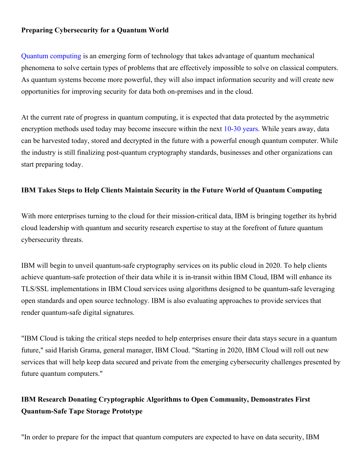## **Preparing Cybersecurity for a Quantum World**

Quantum [computing](https://c212.net/c/link/?t=0&l=en&o=2559875-1&h=2975784555&u=https%3A%2F%2Fwww.research.ibm.com%2Fibm-q%2F&a=Quantum+computing) is an emerging form of technology that takes advantage of quantum mechanical phenomena to solve certain types of problems that are effectively impossible to solve on classical computers. As quantum systems become more powerful, they will also impact information security and will create new opportunities for improving security for data both on-premises and in the cloud.

At the current rate of progress in quantum computing, it is expected that data protected by the asymmetric encryption methods used today may become insecure within the next [10-30](https://c212.net/c/link/?t=0&l=en&o=2559875-1&h=3880622402&u=https%3A%2F%2Fsecurityintelligence.com%2Fhow-to-future-proof-your-enterprise-with-quantum-safe-cryptography%2F&a=10-30+years) years. While years away, data can be harvested today, stored and decrypted in the future with a powerful enough quantum computer. While the industry is still finalizing post-quantum cryptography standards, businesses and other organizations can start preparing today.

#### **IBM Takes Steps to Help Clients Maintain Security in the Future World of Quantum Computing**

With more enterprises turning to the cloud for their mission-critical data, IBM is bringing together its hybrid cloud leadership with quantum and security research expertise to stay at the forefront of future quantum cybersecurity threats.

IBM will begin to unveil quantum-safe cryptography services on its public cloud in 2020. To help clients achieve quantum-safe protection of their data while it is in-transit within IBM Cloud, IBM will enhance its TLS/SSL implementations in IBM Cloud services using algorithms designed to be quantum-safe leveraging open standards and open source technology. IBM is also evaluating approaches to provide services that render quantum-safe digital signatures.

"IBM Cloud is taking the critical steps needed to help enterprises ensure their data stays secure in a quantum future," said Harish Grama, general manager, IBM Cloud. "Starting in 2020, IBM Cloud will roll out new services that will help keep data secured and private from the emerging cybersecurity challenges presented by future quantum computers."

## **IBM Research Donating Cryptographic Algorithms to Open Community, Demonstrates First Quantum-Safe Tape Storage Prototype**

"In order to prepare for the impact that quantum computers are expected to have on data security, IBM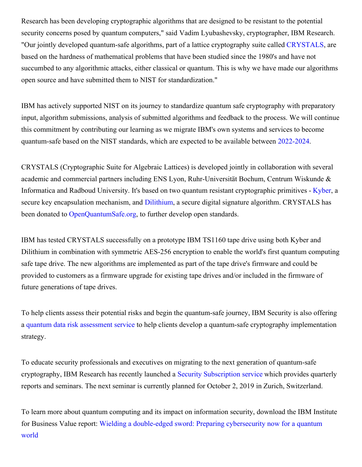Research has been developing cryptographic algorithms that are designed to be resistant to the potential security concerns posed by quantum computers," said Vadim Lyubashevsky, cryptographer, IBM Research. "Our jointly developed quantum-safe algorithms, part of a lattice cryptography suite called [CRYSTALS](https://c212.net/c/link/?t=0&l=en&o=2559875-1&h=1342412553&u=https%3A%2F%2Fpq-crystals.org%2Findex.shtml&a=CRYSTALS), are based on the hardness of mathematical problems that have been studied since the 1980's and have not succumbed to any algorithmic attacks, either classical or quantum. This is why we have made our algorithms open source and have submitted them to NIST for standardization."

IBM has actively supported NIST on its journey to standardize quantum safe cryptography with preparatory input, algorithm submissions, analysis of submitted algorithms and feedback to the process. We will continue this commitment by contributing our learning as we migrate IBM's own systems and services to become quantum-safe based on the NIST standards, which are expected to be available between [2022-2024](https://c212.net/c/link/?t=0&l=en&o=2559875-1&h=4178690859&u=https%3A%2F%2Fcsrc.nist.gov%2FProjects%2FPost-Quantum-Cryptography%2Fworkshops-and-timeline&a=2022-2024).

CRYSTALS (Cryptographic Suite for Algebraic Lattices) is developed jointly in collaboration with several academic and commercial partners including ENS Lyon, Ruhr-Universität Bochum, Centrum Wiskunde & Informatica and Radboud University. It's based on two quantum resistant cryptographic primitives - [Kyber](https://c212.net/c/link/?t=0&l=en&o=2559875-1&h=630498554&u=https%3A%2F%2Fpq-crystals.org%2Fkyber%2Findex.shtml&a=Kyber), a secure key encapsulation mechanism, and [Dilithium](https://c212.net/c/link/?t=0&l=en&o=2559875-1&h=3209826437&u=https%3A%2F%2Fpq-crystals.org%2Fdilithium%2Findex.shtml&a=Dilithium), a secure digital signature algorithm. CRYSTALS has been donated to [OpenQuantumSafe.org](https://c212.net/c/link/?t=0&l=en&o=2559875-1&h=1151854895&u=https%3A%2F%2Fopenquantumsafe.org%2F&a=OpenQuantumSafe.org), to further develop open standards.

IBM has tested CRYSTALS successfully on a prototype IBM TS1160 tape drive using both Kyber and Dilithium in combination with symmetric AES-256 encryption to enable the world's first quantum computing safe tape drive. The new algorithms are implemented as part of the tape drive's firmware and could be provided to customers as a firmware upgrade for existing tape drives and/or included in the firmware of future generations of tape drives.

To help clients assess their potential risks and begin the quantum-safe journey, IBM Security is also offering a quantum data risk [assessment](https://c212.net/c/link/?t=0&l=en&o=2559875-1&h=706575002&u=https%3A%2F%2Fevent.on24.com%2FeventRegistration%2FEventLobbyServlet%3Ftarget%3Dreg20.jsp%26partnerref%3DSecIntEvents%26cm_mc_uid%3D87473756020715475827073%26cm_mc_sid_50200000%3D25348961565228514829%26cm_mc_sid_52640000%3D26802041565228548779%26eventid%3D1882187%26sessionid%3D1%26key%3D10243E1E3350D456BFAACE93D1760DCC%26regTag%3D%26sourcepage%3Dregister&a=quantum+data+risk+assessment+service) service to help clients develop a quantum-safe cryptography implementation strategy.

To educate security professionals and executives on migrating to the next generation of quantum-safe cryptography, IBM Research has recently launched a Security [Subscription](https://c212.net/c/link/?t=0&l=en&o=2559875-1&h=84760667&u=https%3A%2F%2Fwww.zurich.ibm.com%2Fsecurityprivacy%2Fsecuritysubscription.html&a=Security+Subscription+service) service which provides quarterly reports and seminars. The next seminar is currently planned for October 2, 2019 in Zurich, Switzerland.

To learn more about quantum computing and its impact on information security, download the IBM Institute for Business Value report: Wielding a [double-edged](https://c212.net/c/link/?t=0&l=en&o=2559875-1&h=2459127421&u=https%3A%2F%2Fwww.ibm.com%2Fthought-leadership%2Finstitute-business-value%2Freport%2Fquantumsecurity&a=Wielding+a+double-edged+sword%3A+Preparing+cybersecurity+now+for+a+quantum+world) sword: Preparing cybersecurity now for a quantum world